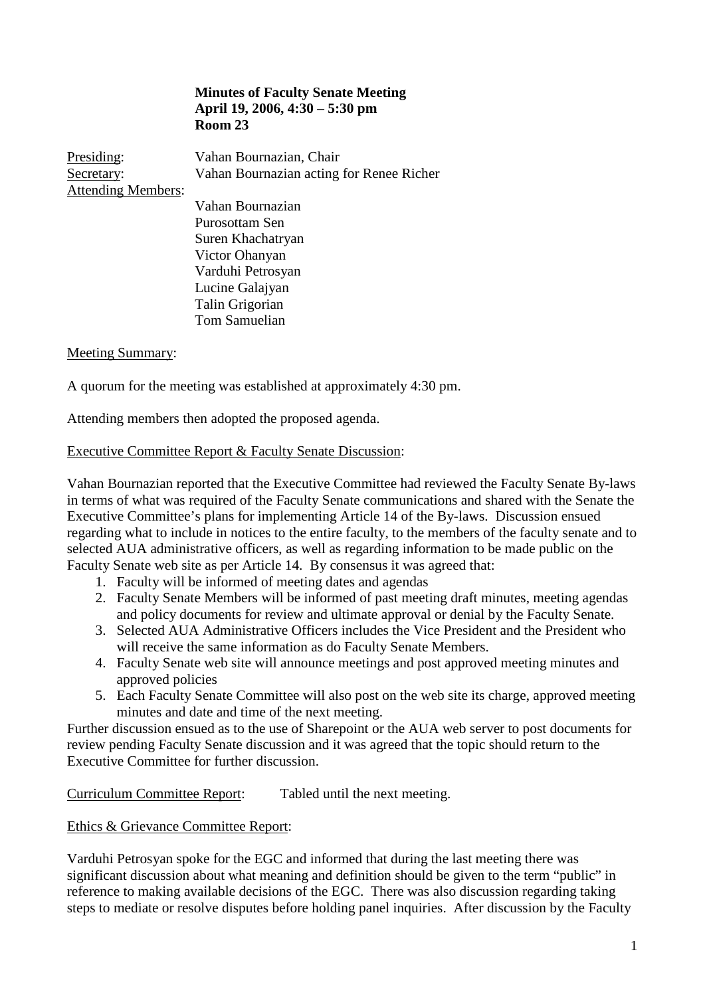## **Minutes of Faculty Senate Meeting April 19, 2006, 4:30 – 5:30 pm Room 23**

Presiding: Vahan Bournazian, Chair Secretary: Vahan Bournazian acting for Renee Richer Attending Members:

Vahan Bournazian Purosottam Sen Suren Khachatryan Victor Ohanyan Varduhi Petrosyan Lucine Galajyan Talin Grigorian Tom Samuelian

#### Meeting Summary:

A quorum for the meeting was established at approximately 4:30 pm.

Attending members then adopted the proposed agenda.

#### Executive Committee Report & Faculty Senate Discussion:

Vahan Bournazian reported that the Executive Committee had reviewed the Faculty Senate By-laws in terms of what was required of the Faculty Senate communications and shared with the Senate the Executive Committee's plans for implementing Article 14 of the By-laws. Discussion ensued regarding what to include in notices to the entire faculty, to the members of the faculty senate and to selected AUA administrative officers, as well as regarding information to be made public on the Faculty Senate web site as per Article 14. By consensus it was agreed that:

- 1. Faculty will be informed of meeting dates and agendas
- 2. Faculty Senate Members will be informed of past meeting draft minutes, meeting agendas and policy documents for review and ultimate approval or denial by the Faculty Senate.
- 3. Selected AUA Administrative Officers includes the Vice President and the President who will receive the same information as do Faculty Senate Members.
- 4. Faculty Senate web site will announce meetings and post approved meeting minutes and approved policies
- 5. Each Faculty Senate Committee will also post on the web site its charge, approved meeting minutes and date and time of the next meeting.

Further discussion ensued as to the use of Sharepoint or the AUA web server to post documents for review pending Faculty Senate discussion and it was agreed that the topic should return to the Executive Committee for further discussion.

Curriculum Committee Report: Tabled until the next meeting.

#### Ethics & Grievance Committee Report:

Varduhi Petrosyan spoke for the EGC and informed that during the last meeting there was significant discussion about what meaning and definition should be given to the term "public" in reference to making available decisions of the EGC. There was also discussion regarding taking steps to mediate or resolve disputes before holding panel inquiries. After discussion by the Faculty